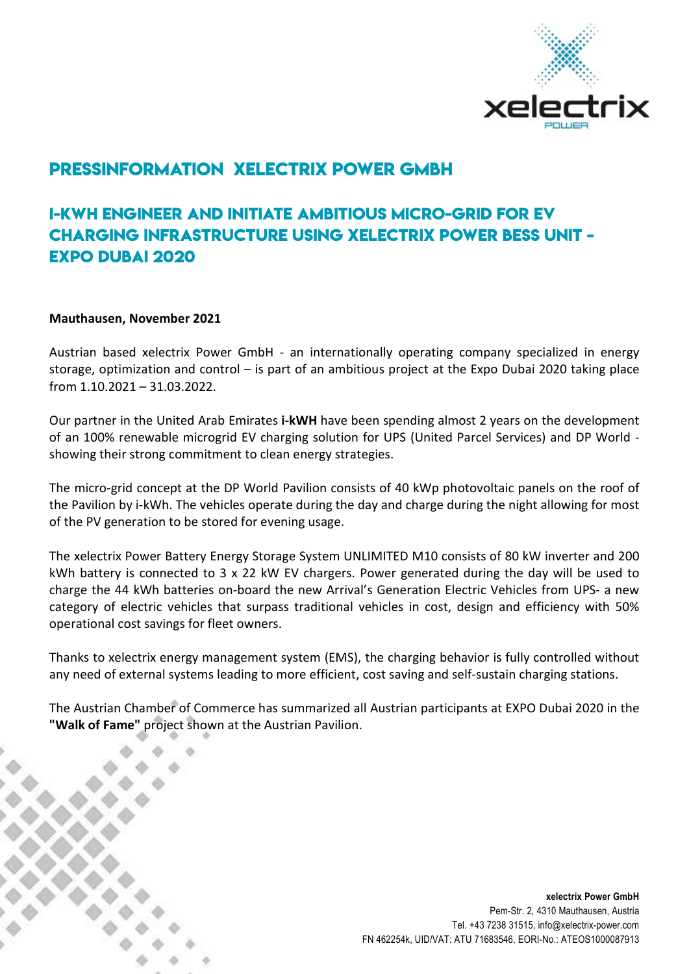

# Pressinformation xelectrix Power GmbH

## i-kwh engineer and initiate ambitious micro-grid for ev charging infrastructure using xelectrix power bess unit - Expo dubai 2020

#### Mauthausen, November 2021

Austrian based xelectrix Power GmbH - an internationally operating company specialized in energy storage, optimization and control – is part of an ambitious project at the Expo Dubai 2020 taking place from 1.10.2021 – 31.03.2022.

Our partner in the United Arab Emirates i-kWH have been spending almost 2 years on the development of an 100% renewable microgrid EV charging solution for UPS (United Parcel Services) and DP World showing their strong commitment to clean energy strategies.

The micro-grid concept at the DP World Pavilion consists of 40 kWp photovoltaic panels on the roof of the Pavilion by i-kWh. The vehicles operate during the day and charge during the night allowing for most of the PV generation to be stored for evening usage.

The xelectrix Power Battery Energy Storage System UNLIMITED M10 consists of 80 kW inverter and 200 kWh battery is connected to 3 x 22 kW EV chargers. Power generated during the day will be used to charge the 44 kWh batteries on-board the new Arrival's Generation Electric Vehicles from UPS- a new category of electric vehicles that surpass traditional vehicles in cost, design and efficiency with 50% operational cost savings for fleet owners.

Thanks to xelectrix energy management system (EMS), the charging behavior is fully controlled without any need of external systems leading to more efficient, cost saving and self-sustain charging stations.

The Austrian Chamber of Commerce has summarized all Austrian participants at EXPO Dubai 2020 in the "Walk of Fame" project shown at the Austrian Pavilion.

> xelectrix Power GmbH Pem-Str. 2, 4310 Mauthausen, Austria Tel. +43 7238 31515, info@xelectrix-power.com FN 462254k, UID/VAT: ATU 71683546, EORI-No.: ATEOS1000087913